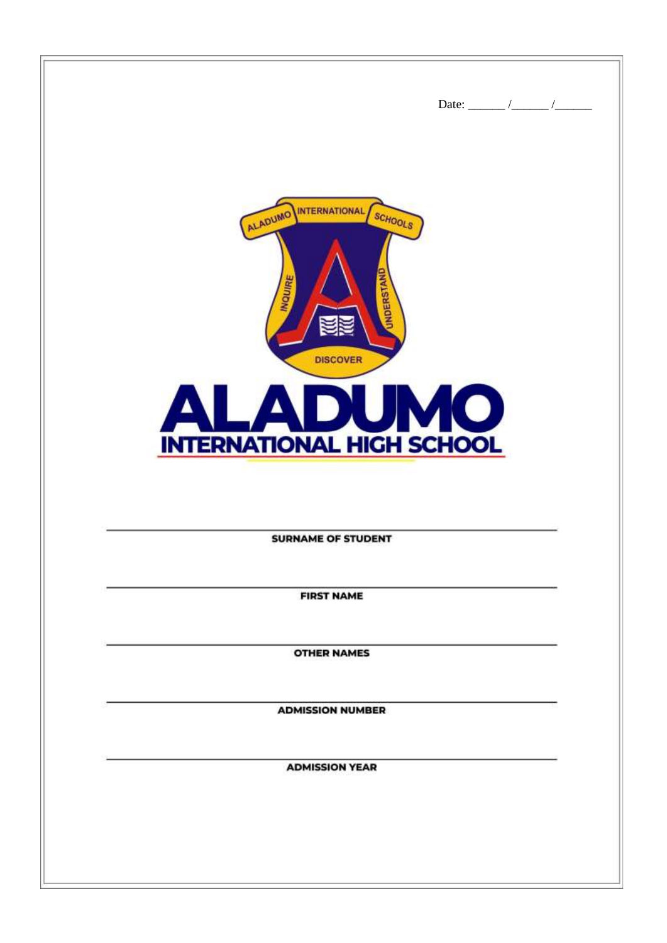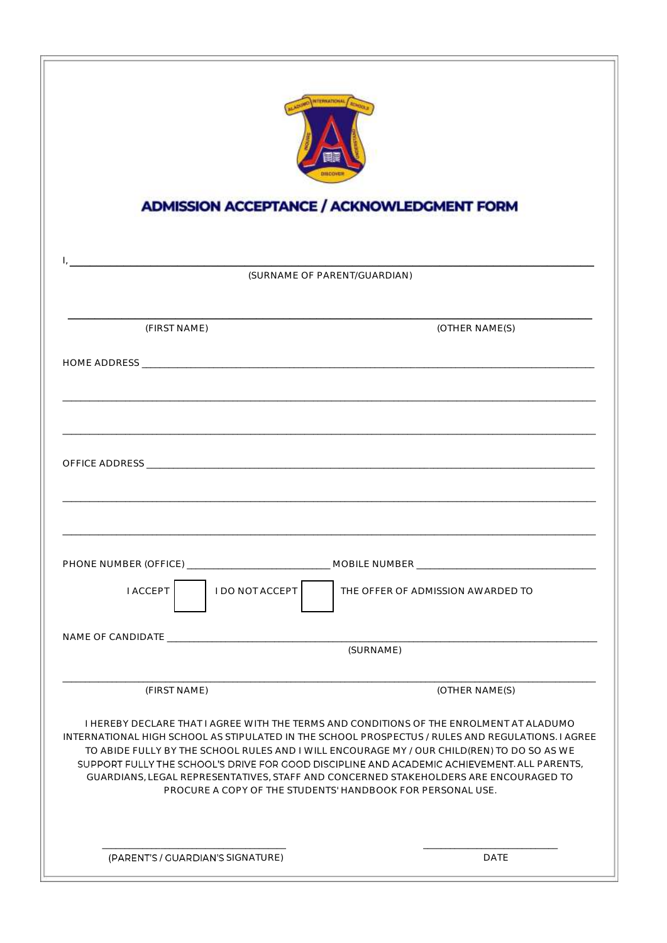|                                    | NTERNATIONAL<br><b>ADMISSION ACCEPTANCE / ACKNOWLEDGMENT FORM</b>                                                                                                                                                                                                                                                                                                                                                                                                                                                                                                 |
|------------------------------------|-------------------------------------------------------------------------------------------------------------------------------------------------------------------------------------------------------------------------------------------------------------------------------------------------------------------------------------------------------------------------------------------------------------------------------------------------------------------------------------------------------------------------------------------------------------------|
|                                    | (SURNAME OF PARENT/GUARDIAN)                                                                                                                                                                                                                                                                                                                                                                                                                                                                                                                                      |
| (FIRST NAME)                       | (OTHER NAME(S)                                                                                                                                                                                                                                                                                                                                                                                                                                                                                                                                                    |
|                                    |                                                                                                                                                                                                                                                                                                                                                                                                                                                                                                                                                                   |
|                                    |                                                                                                                                                                                                                                                                                                                                                                                                                                                                                                                                                                   |
|                                    |                                                                                                                                                                                                                                                                                                                                                                                                                                                                                                                                                                   |
|                                    |                                                                                                                                                                                                                                                                                                                                                                                                                                                                                                                                                                   |
| I DO NOT ACCEPT<br><b>I ACCEPT</b> | THE OFFER OF ADMISSION AWARDED TO                                                                                                                                                                                                                                                                                                                                                                                                                                                                                                                                 |
|                                    | (SURNAME)                                                                                                                                                                                                                                                                                                                                                                                                                                                                                                                                                         |
|                                    |                                                                                                                                                                                                                                                                                                                                                                                                                                                                                                                                                                   |
| (FIRST NAME)                       | (OTHER NAME(S)<br>I HEREBY DECLARE THAT I AGREE WITH THE TERMS AND CONDITIONS OF THE ENROLMENT AT ALADUMO<br>INTERNATIONAL HIGH SCHOOL AS STIPULATED IN THE SCHOOL PROSPECTUS / RULES AND REGULATIONS. I AGREE<br>TO ABIDE FULLY BY THE SCHOOL RULES AND I WILL ENCOURAGE MY / OUR CHILD(REN) TO DO SO AS WE<br>SUPPORT FULLY THE SCHOOL'S DRIVE FOR GOOD DISCIPLINE AND ACADEMIC ACHIEVEMENT. ALL PARENTS,<br>GUARDIANS, LEGAL REPRESENTATIVES, STAFF AND CONCERNED STAKEHOLDERS ARE ENCOURAGED TO<br>PROCURE A COPY OF THE STUDENTS' HANDBOOK FOR PERSONAL USE. |
| (PARENT'S / GUARDIAN'S SIGNATURE)  | <b>DATE</b>                                                                                                                                                                                                                                                                                                                                                                                                                                                                                                                                                       |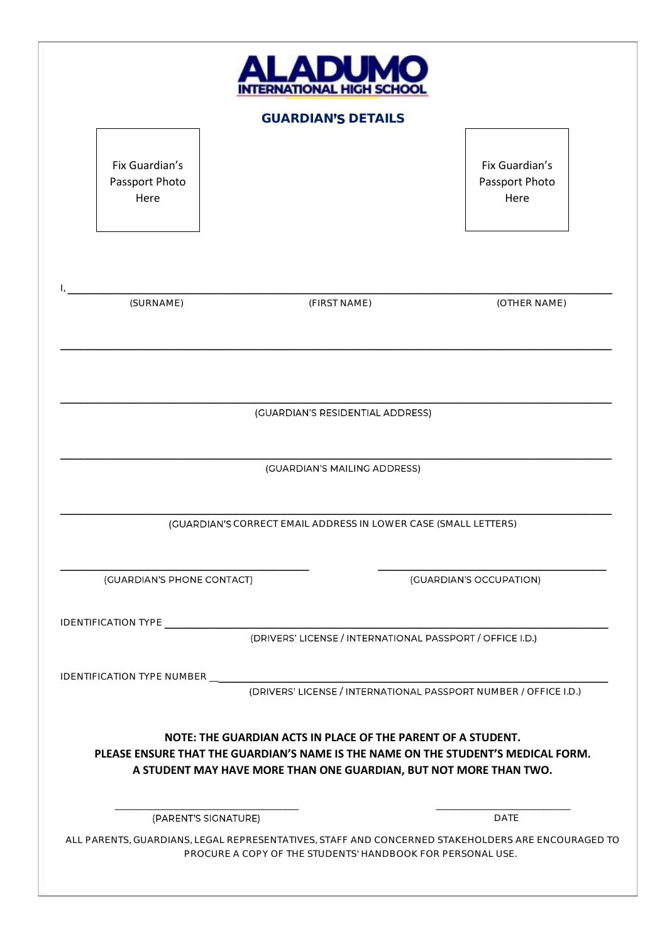|                                          |                                                                 | <b>GUARDIAN'S DETAILS</b>        |                                                                                                                                                        |
|------------------------------------------|-----------------------------------------------------------------|----------------------------------|--------------------------------------------------------------------------------------------------------------------------------------------------------|
| Fix Guardian's<br>Passport Photo<br>Here |                                                                 |                                  | Fix Guardian's<br>Passport Photo<br>Here                                                                                                               |
| (SURNAME)                                |                                                                 | (FIRST NAME)                     | (OTHER NAME)                                                                                                                                           |
|                                          |                                                                 | (GUARDIAN'S RESIDENTIAL ADDRESS) |                                                                                                                                                        |
|                                          |                                                                 |                                  |                                                                                                                                                        |
|                                          |                                                                 | (GUARDIAN'S MAILING ADDRESS)     |                                                                                                                                                        |
|                                          |                                                                 |                                  |                                                                                                                                                        |
|                                          | (GUARDIAN'S CORRECT EMAIL ADDRESS IN LOWER CASE (SMALL LETTERS) |                                  |                                                                                                                                                        |
|                                          |                                                                 |                                  |                                                                                                                                                        |
| (GUARDIAN'S PHONE CONTACT)               |                                                                 |                                  | (GUARDIAN'S OCCUPATION)                                                                                                                                |
|                                          |                                                                 |                                  |                                                                                                                                                        |
|                                          |                                                                 |                                  | (DRIVERS' LICENSE / INTERNATIONAL PASSPORT / OFFICE I.D.)                                                                                              |
|                                          |                                                                 |                                  |                                                                                                                                                        |
|                                          |                                                                 |                                  | (DRIVERS' LICENSE / INTERNATIONAL PASSPORT NUMBER / OFFICE I.D.)                                                                                       |
|                                          | NOTE: THE GUARDIAN ACTS IN PLACE OF THE PARENT OF A STUDENT.    |                                  | PLEASE ENSURE THAT THE GUARDIAN'S NAME IS THE NAME ON THE STUDENT'S MEDICAL FORM.<br>A STUDENT MAY HAVE MORE THAN ONE GUARDIAN, BUT NOT MORE THAN TWO. |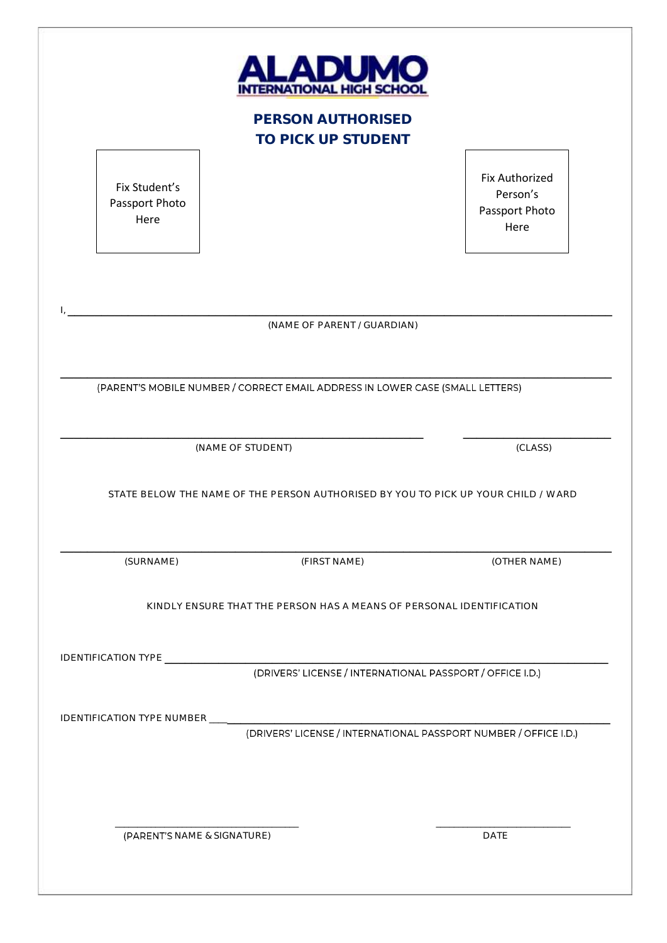|                                         | PERSON AUTHORISED                                                                 |                                                             |
|-----------------------------------------|-----------------------------------------------------------------------------------|-------------------------------------------------------------|
|                                         | TO PICK UP STUDENT                                                                |                                                             |
| Fix Student's<br>Passport Photo<br>Here |                                                                                   | <b>Fix Authorized</b><br>Person's<br>Passport Photo<br>Here |
|                                         | (NAME OF PARENT / GUARDIAN)                                                       |                                                             |
|                                         | (PARENT'S MOBILE NUMBER / CORRECT EMAIL ADDRESS IN LOWER CASE (SMALL LETTERS)     |                                                             |
|                                         | (NAME OF STUDENT)                                                                 |                                                             |
|                                         |                                                                                   | (CLASS)                                                     |
|                                         | STATE BELOW THE NAME OF THE PERSON AUTHORISED BY YOU TO PICK UP YOUR CHILD / WARD |                                                             |
| (SURNAME)                               | (FIRST NAME)                                                                      | (OTHER NAME)                                                |
|                                         | KINDLY ENSURE THAT THE PERSON HAS A MEANS OF PERSONAL IDENTIFICATION              |                                                             |
|                                         |                                                                                   |                                                             |
|                                         | (DRIVERS' LICENSE / INTERNATIONAL PASSPORT / OFFICE I.D.)                         |                                                             |
|                                         | (DRIVERS' LICENSE / INTERNATIONAL PASSPORT NUMBER / OFFICE I.D.)                  |                                                             |
|                                         |                                                                                   |                                                             |
|                                         |                                                                                   |                                                             |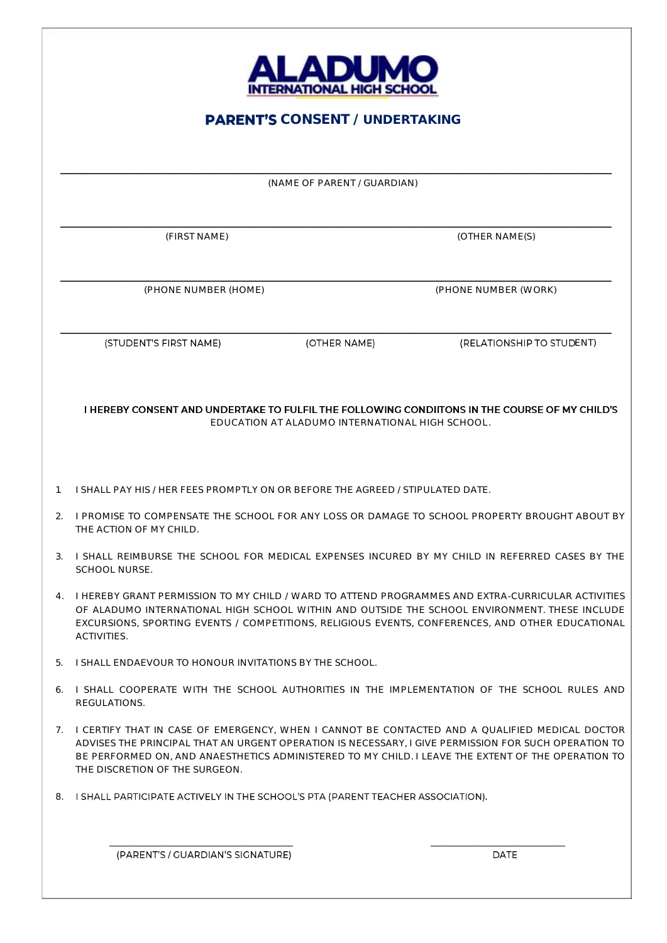| <b>DU.</b>               |  |
|--------------------------|--|
| ITERNATIONAL HIGH SCHOOL |  |

### **PARENT'S CONSENT / UNDERTAKING**

\_\_\_\_\_\_\_\_\_\_\_\_\_\_\_\_\_\_\_\_\_\_\_\_\_\_\_\_\_\_\_\_\_\_\_\_\_\_\_\_\_\_\_\_\_\_\_\_\_\_\_\_\_\_\_\_\_\_\_\_\_\_\_\_\_\_\_\_\_\_\_\_\_\_\_\_\_\_\_\_\_\_ (NAME OF PARENT / GUARDIAN)

\_\_\_\_\_\_\_\_\_\_\_\_\_\_\_\_\_\_\_\_\_\_\_\_\_\_\_\_\_\_\_\_\_\_\_\_\_\_\_\_\_\_\_\_\_\_\_\_\_\_\_\_\_\_\_\_\_\_\_\_\_\_\_\_\_\_\_\_\_\_\_\_\_\_\_\_\_\_\_\_\_\_

\_\_\_\_\_\_\_\_\_\_\_\_\_\_\_\_\_\_\_\_\_\_\_\_\_\_\_\_\_\_\_\_\_\_\_\_\_\_\_\_\_\_\_\_\_\_\_\_\_\_\_\_\_\_\_\_\_\_\_\_\_\_\_\_\_\_\_\_\_\_\_\_\_\_\_\_\_\_\_\_\_\_

(FIRST NAME) (OTHER NAME(S)

(PHONE NUMBER (HOME) (PHONE NUMBER (WORK)

(STUDENT'S FIRST NAME)

\_\_\_\_\_\_\_\_\_\_\_\_\_\_\_\_\_\_\_\_\_\_\_\_\_\_\_\_\_\_\_\_\_\_\_\_\_\_\_\_\_\_\_\_\_\_\_\_\_\_\_\_\_\_\_\_\_\_\_\_\_\_\_\_\_\_\_\_\_\_\_\_\_\_\_\_\_\_\_\_\_\_ (OTHER NAME)

(RELATIONSHIP TO STUDENT)

I HEREBY CONSENT AND UNDERTAKE TO FULFIL THE FOLLOWING CONDITONS IN THE COURSE OF MY CHILD'S EDUCATION AT ALADUMO INTERNATIONAL HIGH SCHOOL.

- 1. I SHALL PAY HIS / HER FEES PROMPTLY ON OR BEFORE THE AGREED / STIPULATED DATE.
- 2. I PROMISE TO COMPENSATE THE SCHOOL FOR ANY LOSS OR DAMAGE TO SCHOOL PROPERTY BROUGHT ABOUT BY THE ACTION OF MY CHILD.
- 3. I SHALL REIMBURSE THE SCHOOL FOR MEDICAL EXPENSES INCURED BY MY CHILD IN REFERRED CASES BY THE SCHOOL NURSE.
- 4. I HEREBY GRANT PERMISSION TO MY CHILD / WARD TO ATTEND PROGRAMMES AND EXTRA-CURRICULAR ACTIVITIES OF ALADUMO INTERNATIONAL HIGH SCHOOL WITHIN AND OUTSIDE THE SCHOOL ENVIRONMENT. THESE INCLUDE EXCURSIONS, SPORTING EVENTS / COMPETITIONS, RELIGIOUS EVENTS, CONFERENCES, AND OTHER EDUCATIONAL ACTIVITIES.
- 5. I SHALL ENDAEVOUR TO HONOUR INVITATIONS BY THE SCHOOL.
- 6. I SHALL COOPERATE WITH THE SCHOOL AUTHORITIES IN THE IMPLEMENTATION OF THE SCHOOL RULES AND REGULATIONS.
- 7. I CERTIFY THAT IN CASE OF EMERGENCY, WHEN I CANNOT BE CONTACTED AND A QUALIFIED MEDICAL DOCTOR ADVISES THE PRINCIPAL THAT AN URGENT OPERATION IS NECESSARY, I GIVE PERMISSION FOR SUCH OPERATION TO BE PERFORMED ON, AND ANAESTHETICS ADMINISTERED TO MY CHILD. I LEAVE THE EXTENT OF THE OPERATION TO THE DISCRETION OF THE SURGEON.

 $\overline{\phantom{a}}$  , and the contribution of the contribution of the contribution of the contribution of the contribution of the contribution of the contribution of the contribution of the contribution of the contribution of the

8. I SHALL PARTICIPATE ACTIVELY IN THE SCHOOL'S PTA (PARENT TEACHER ASSOCIATION).

(PARENT'S / GUARDIAN'S SIGNATURE)

**DATE**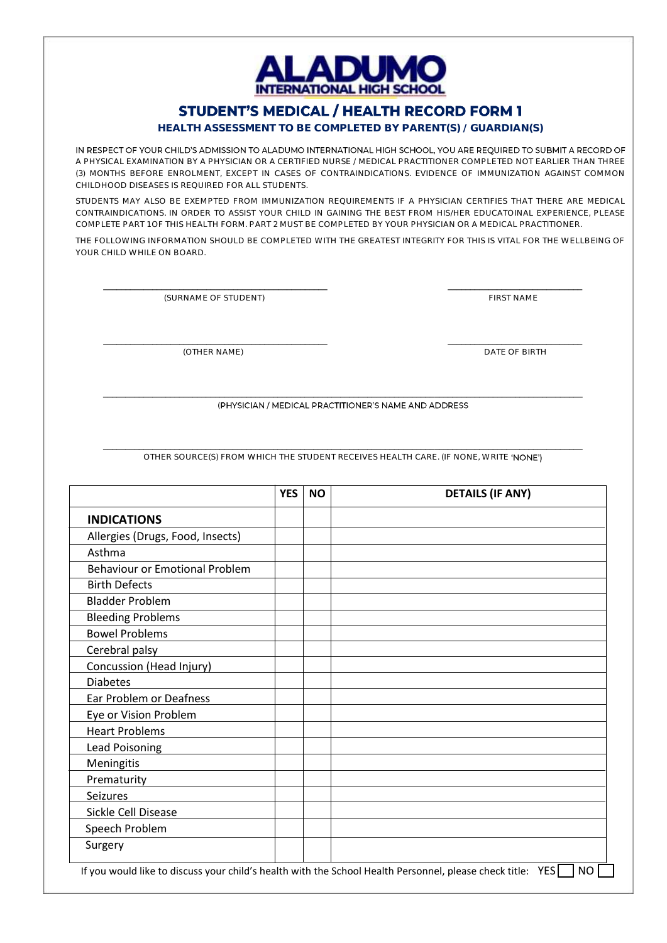

## **STUDENT'S MEDICAL / HEALTH RECORD FORM 1**

### **HEALTH ASSESSMENT TO BE COMPLETED BY PARENT(S) / GUARDIAN(S)**

IN RESPECT OF YOUR CHILD'S ADMISSION TO ALADUMO INTERNATIONAL HIGH SCHOOL, YOU ARE REQUIRED TO SUBMIT A RECORD OF A PHYSICAL EXAMINATION BY A PHYSICIAN OR A CERTIFIED NURSE / MEDICAL PRACTITIONER COMPLETED NOT EARLIER THAN THREE (3) MONTHS BEFORE ENROLMENT, EXCEPT IN CASES OF CONTRAINDICATIONS. EVIDENCE OF IMMUNIZATION AGAINST COMMON CHILDHOOD DISEASES IS REQUIRED FOR ALL STUDENTS.

STUDENTS MAY ALSO BE EXEMPTED FROM IMMUNIZATION REQUIREMENTS IF A PHYSICIAN CERTIFIES THAT THERE ARE MEDICAL CONTRAINDICATIONS. IN ORDER TO ASSIST YOUR CHILD IN GAINING THE BEST FROM HIS/HER EDUCATOINAL EXPERIENCE, PLEASE COMPLETE PART 1 OF THIS HEALTH FORM. PART 2 MUST BE COMPLETED BY YOUR PHYSICIAN OR A MEDICAL PRACTITIONER.

THE FOLLOWING INFORMATION SHOULD BE COMPLETED WITH THE GREATEST INTEGRITY FOR THIS IS VITAL FOR THE WELLBEING OF YOUR CHILD WHILE ON BOARD.

\_\_\_\_\_\_\_\_\_\_\_\_\_\_\_\_\_\_\_\_\_\_\_\_\_\_\_\_\_\_\_\_\_\_\_\_\_\_\_\_\_\_\_\_\_\_\_\_\_\_ \_\_\_\_\_\_\_\_\_\_\_\_\_\_\_\_\_\_\_\_\_\_\_\_\_\_\_\_\_\_

\_\_\_\_\_\_\_\_\_\_\_\_\_\_\_\_\_\_\_\_\_\_\_\_\_\_\_\_\_\_\_\_\_\_\_\_\_\_\_\_\_\_\_\_\_\_\_\_\_\_ \_\_\_\_\_\_\_\_\_\_\_\_\_\_\_\_\_\_\_\_\_\_\_\_\_\_\_\_\_\_

(SURNAME OF STUDENT) THE STUDENT OF STUDENT ASSESSMENT OF STUDENT ASSESSMENT OF STUDENT ASSESSMENT OF STUDENT ASSESSMENT OF STUDENT ASSESSMENT OF STUDENT ASSESSMENT OF STUDIES OF STUDENT ASSESSMENT OF STUDIES OF STUDIES OF

(OTHER NAME) DATE OF BIRTH

\_\_\_\_\_\_\_\_\_\_\_\_\_\_\_\_\_\_\_\_\_\_\_\_\_\_\_\_\_\_\_\_\_\_\_\_\_\_\_\_\_\_\_\_\_\_\_\_\_\_\_\_\_\_\_\_\_\_\_\_\_\_\_\_\_\_\_\_\_\_\_\_\_\_\_\_\_\_\_\_\_\_\_\_\_\_\_\_\_\_\_\_\_\_\_\_\_\_\_\_\_\_\_\_\_\_\_ (PHYSICIAN / MEDICAL PRACTITIONER'S NAME AND ADDRESS

\_\_\_\_\_\_\_\_\_\_\_\_\_\_\_\_\_\_\_\_\_\_\_\_\_\_\_\_\_\_\_\_\_\_\_\_\_\_\_\_\_\_\_\_\_\_\_\_\_\_\_\_\_\_\_\_\_\_\_\_\_\_\_\_\_\_\_\_\_\_\_\_\_\_\_\_\_\_\_\_\_\_\_\_\_\_\_\_\_\_\_\_\_\_\_\_\_\_\_\_\_\_\_\_\_\_\_ OTHER SOURCE(S) FROM WHICH THE STUDENT RECEIVES HEALTH CARE. (IF NONE, WRITE 'NONE')

|                                       | <b>YES</b> | <b>NO</b> | <b>DETAILS (IF ANY)</b> |
|---------------------------------------|------------|-----------|-------------------------|
| <b>INDICATIONS</b>                    |            |           |                         |
| Allergies (Drugs, Food, Insects)      |            |           |                         |
| Asthma                                |            |           |                         |
| <b>Behaviour or Emotional Problem</b> |            |           |                         |
| <b>Birth Defects</b>                  |            |           |                         |
| <b>Bladder Problem</b>                |            |           |                         |
| <b>Bleeding Problems</b>              |            |           |                         |
| <b>Bowel Problems</b>                 |            |           |                         |
| Cerebral palsy                        |            |           |                         |
| Concussion (Head Injury)              |            |           |                         |
| <b>Diabetes</b>                       |            |           |                         |
| Ear Problem or Deafness               |            |           |                         |
| Eye or Vision Problem                 |            |           |                         |
| <b>Heart Problems</b>                 |            |           |                         |
| Lead Poisoning                        |            |           |                         |
| Meningitis                            |            |           |                         |
| Prematurity                           |            |           |                         |
| Seizures                              |            |           |                         |
| Sickle Cell Disease                   |            |           |                         |
| Speech Problem                        |            |           |                         |
| Surgery                               |            |           |                         |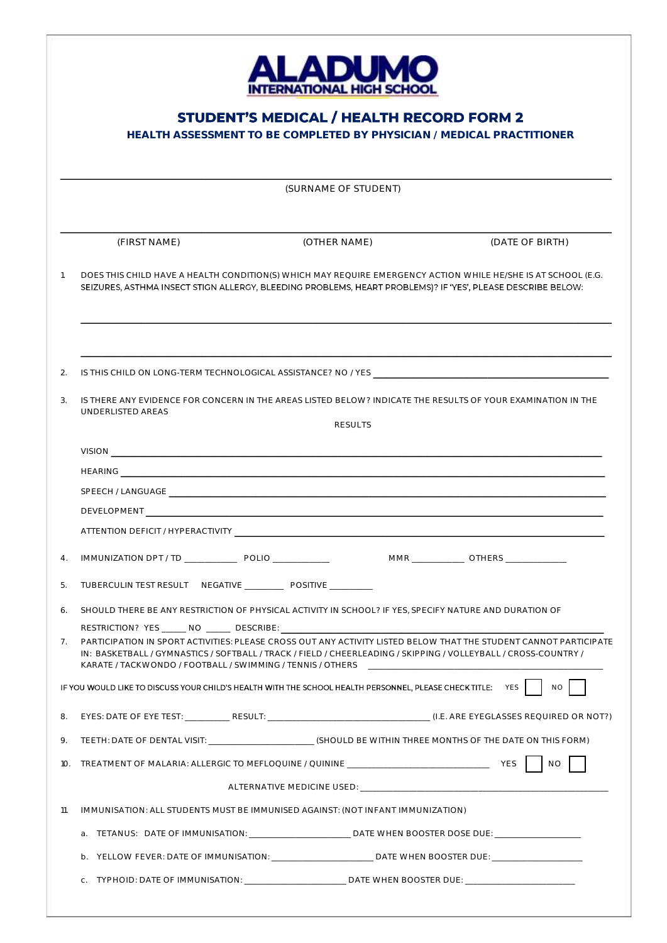

# **STUDENT'S MEDICAL / HEALTH RECORD FORM 2**

**HEALTH ASSESSMENT TO BE COMPLETED BY PHYSICIAN / MEDICAL PRACTITIONER**

|                |                                                                                                                                                                                                                                                                                                    | (SURNAME OF STUDENT)                                                                                                                                                                                                          |                                          |
|----------------|----------------------------------------------------------------------------------------------------------------------------------------------------------------------------------------------------------------------------------------------------------------------------------------------------|-------------------------------------------------------------------------------------------------------------------------------------------------------------------------------------------------------------------------------|------------------------------------------|
|                | (FIRST NAME)                                                                                                                                                                                                                                                                                       | (OTHER NAME)                                                                                                                                                                                                                  | (DATE OF BIRTH)                          |
| $\mathbf{1}$ . | DOES THIS CHILD HAVE A HEALTH CONDITION(S) WHICH MAY REQUIRE EMERGENCY ACTION WHILE HE/SHE IS AT SCHOOL (E.G.<br>SEIZURES, ASTHMA INSECT STIGN ALLERGY, BLEEDING PROBLEMS, HEART PROBLEMS)? IF 'YES', PLEASE DESCRIBE BELOW:                                                                       |                                                                                                                                                                                                                               |                                          |
| 2.             |                                                                                                                                                                                                                                                                                                    |                                                                                                                                                                                                                               |                                          |
| 3.             | IS THERE ANY EVIDENCE FOR CONCERN IN THE AREAS LISTED BELOW? INDICATE THE RESULTS OF YOUR EXAMINATION IN THE                                                                                                                                                                                       |                                                                                                                                                                                                                               |                                          |
|                | UNDERLISTED AREAS                                                                                                                                                                                                                                                                                  | <b>RESULTS</b>                                                                                                                                                                                                                |                                          |
|                |                                                                                                                                                                                                                                                                                                    |                                                                                                                                                                                                                               |                                          |
|                |                                                                                                                                                                                                                                                                                                    |                                                                                                                                                                                                                               |                                          |
|                |                                                                                                                                                                                                                                                                                                    |                                                                                                                                                                                                                               |                                          |
|                |                                                                                                                                                                                                                                                                                                    |                                                                                                                                                                                                                               |                                          |
|                |                                                                                                                                                                                                                                                                                                    |                                                                                                                                                                                                                               |                                          |
| 4.             | IMMUNIZATION DPT / TD __________________ POLIO ______________                                                                                                                                                                                                                                      |                                                                                                                                                                                                                               | MMR ______________ OTHERS ______________ |
| 5.             |                                                                                                                                                                                                                                                                                                    |                                                                                                                                                                                                                               |                                          |
| 6.             | SHOULD THERE BE ANY RESTRICTION OF PHYSICAL ACTIVITY IN SCHOOL? IF YES, SPECIFY NATURE AND DURATION OF                                                                                                                                                                                             |                                                                                                                                                                                                                               |                                          |
|                | RESTRICTION? YES ______ NO ______ DESCRIBE: ______________                                                                                                                                                                                                                                         |                                                                                                                                                                                                                               |                                          |
| 7 <sub>1</sub> | PARTICIPATION IN SPORT ACTIVITIES: PLEASE CROSS OUT ANY ACTIVITY LISTED BELOW THAT THE STUDENT CANNOT PARTICIPATE<br>IN: BASKETBALL / GYMNASTICS / SOFTBALL / TRACK / FIELD / CHEERLEADING / SKIPPING / VOLLEYBALL / CROSS-COUNTRY /<br>KARATE / TACKWONDO / FOOTBALL / SWIMMING / TENNIS / OTHERS |                                                                                                                                                                                                                               |                                          |
|                | IF YOU WOULD LIKE TO DISCUSS YOUR CHILD'S HEALTH WITH THE SCHOOL HEALTH PERSONNEL, PLEASE CHECK TITLE:                                                                                                                                                                                             |                                                                                                                                                                                                                               | <b>NO</b><br><b>YES</b>                  |
| 8.             |                                                                                                                                                                                                                                                                                                    |                                                                                                                                                                                                                               |                                          |
| 9.             | TEETH: DATE OF DENTAL VISIT: __________________________(SHOULD BE WITHIN THREE MONTHS OF THE DATE ON THIS FORM)                                                                                                                                                                                    |                                                                                                                                                                                                                               |                                          |
| 10.            |                                                                                                                                                                                                                                                                                                    |                                                                                                                                                                                                                               | <b>NO</b>                                |
|                |                                                                                                                                                                                                                                                                                                    | ALTERNATIVE MEDICINE USED: NOTIFIED AND THE STATE OF THE STATE OF THE STATE OF THE STATE OF THE STATE OF THE STATE OF THE STATE OF THE STATE OF THE STATE OF THE STATE OF THE STATE OF THE STATE OF THE STATE OF THE STATE OF |                                          |
| 11.            | IMMUNISATION: ALL STUDENTS MUST BE IMMUNISED AGAINST: (NOT INFANT IMMUNIZATION)                                                                                                                                                                                                                    |                                                                                                                                                                                                                               |                                          |
|                | a. TETANUS: DATE OF IMMUNISATION: _________________________ DATE WHEN BOOSTER DOSE DUE: ______________________                                                                                                                                                                                     |                                                                                                                                                                                                                               |                                          |
|                |                                                                                                                                                                                                                                                                                                    |                                                                                                                                                                                                                               |                                          |
|                | b. YELLOW FEVER: DATE OF IMMUNISATION: ____________________________DATE WHEN BOOSTER DUE: ____________________                                                                                                                                                                                     |                                                                                                                                                                                                                               |                                          |
|                | C.                                                                                                                                                                                                                                                                                                 |                                                                                                                                                                                                                               |                                          |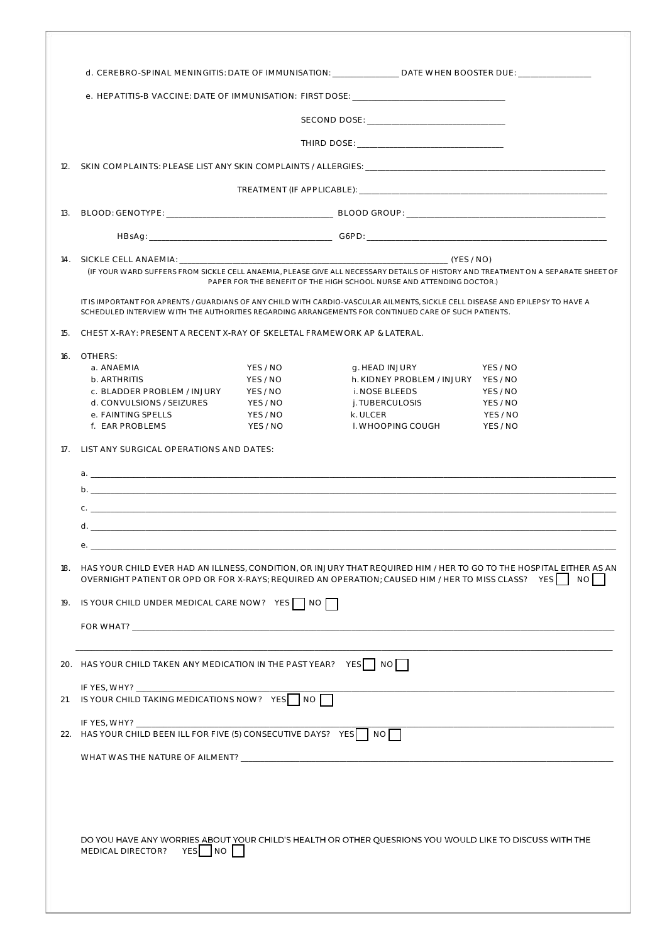|                 |                                                                                                                                                                                                                                                 |                                                                      | d. CEREBRO-SPINAL MENINGITIS: DATE OF IMMUNISATION: _______________ DATE WHEN BOOSTER DUE: __________________                                                                                                                          |                                                          |
|-----------------|-------------------------------------------------------------------------------------------------------------------------------------------------------------------------------------------------------------------------------------------------|----------------------------------------------------------------------|----------------------------------------------------------------------------------------------------------------------------------------------------------------------------------------------------------------------------------------|----------------------------------------------------------|
|                 |                                                                                                                                                                                                                                                 |                                                                      | e. HEPATITIS-B VACCINE: DATE OF IMMUNISATION: FIRST DOSE:                                                                                                                                                                              |                                                          |
|                 |                                                                                                                                                                                                                                                 |                                                                      |                                                                                                                                                                                                                                        |                                                          |
|                 |                                                                                                                                                                                                                                                 |                                                                      |                                                                                                                                                                                                                                        |                                                          |
| 12.             |                                                                                                                                                                                                                                                 |                                                                      |                                                                                                                                                                                                                                        |                                                          |
|                 |                                                                                                                                                                                                                                                 |                                                                      |                                                                                                                                                                                                                                        |                                                          |
| 13.             |                                                                                                                                                                                                                                                 |                                                                      |                                                                                                                                                                                                                                        |                                                          |
|                 |                                                                                                                                                                                                                                                 |                                                                      |                                                                                                                                                                                                                                        |                                                          |
|                 |                                                                                                                                                                                                                                                 |                                                                      | (IF YOUR WARD SUFFERS FROM SICKLE CELL ANAEMIA, PLEASE GIVE ALL NECESSARY DETAILS OF HISTORY AND TREATMENT ON A SEPARATE SHEET OF<br>PAPER FOR THE BENEFIT OF THE HIGH SCHOOL NURSE AND ATTENDING DOCTOR.)                             |                                                          |
|                 |                                                                                                                                                                                                                                                 |                                                                      | IT IS IMPORTANT FOR APRENTS / GUARDIANS OF ANY CHILD WITH CARDIO-VASCULAR AILMENTS. SICKLE CELL DISEASE AND EPILEPSY TO HAVE A<br>SCHEDULED INTERVIEW WITH THE AUTHORITIES REGARDING ARRANGEMENTS FOR CONTINUED CARE OF SUCH PATIENTS. |                                                          |
| 15.             | CHEST X-RAY: PRESENT A RECENT X-RAY OF SKELETAL FRAMEWORK AP & LATERAL.                                                                                                                                                                         |                                                                      |                                                                                                                                                                                                                                        |                                                          |
| 16.             | OTHERS:<br>a. ANAEMIA<br>b. ARTHRITIS<br>c. BLADDER PROBLEM / INJURY<br>d. CONVULSIONS / SEIZURES<br>e. FAINTING SPELLS<br>f. EAR PROBLEMS                                                                                                      | YES / NO<br>YES / NO<br>YES / NO<br>YES / NO<br>YES / NO<br>YES / NO | g. HEAD INJURY<br>h. KIDNEY PROBLEM / INJURY YES / NO<br>i. NOSE BLEEDS<br>j. TUBERCULOSIS<br>k. ULCER<br>I. WHOOPING COUGH                                                                                                            | YFS / NO<br>YES / NO<br>YES / NO<br>YES / NO<br>YES / NO |
| 17 <sub>1</sub> | LIST ANY SURGICAL OPERATIONS AND DATES:                                                                                                                                                                                                         |                                                                      |                                                                                                                                                                                                                                        |                                                          |
|                 |                                                                                                                                                                                                                                                 |                                                                      |                                                                                                                                                                                                                                        |                                                          |
|                 | $\mathbf{b}$ .                                                                                                                                                                                                                                  |                                                                      |                                                                                                                                                                                                                                        |                                                          |
|                 |                                                                                                                                                                                                                                                 |                                                                      |                                                                                                                                                                                                                                        |                                                          |
|                 |                                                                                                                                                                                                                                                 |                                                                      |                                                                                                                                                                                                                                        |                                                          |
|                 |                                                                                                                                                                                                                                                 |                                                                      |                                                                                                                                                                                                                                        |                                                          |
|                 | 18. HAS YOUR CHILD EVER HAD AN ILLNESS, CONDITION, OR INJURY THAT REQUIRED HIM / HER TO GO TO THE HOSPITAL EITHER AS AN<br>OVERNIGHT PATIENT OR OPD OR FOR X-RAYS; REQUIRED AN OPERATION; CAUSED HIM / HER TO MISS CLASS? YES $\Box \circ \Box$ |                                                                      |                                                                                                                                                                                                                                        |                                                          |
|                 | 19. IS YOUR CHILD UNDER MEDICAL CARE NOW? YES   NO                                                                                                                                                                                              |                                                                      |                                                                                                                                                                                                                                        |                                                          |
|                 |                                                                                                                                                                                                                                                 |                                                                      |                                                                                                                                                                                                                                        |                                                          |
|                 |                                                                                                                                                                                                                                                 |                                                                      |                                                                                                                                                                                                                                        |                                                          |
|                 | 20. HAS YOUR CHILD TAKEN ANY MEDICATION IN THE PAST YEAR? YES NO                                                                                                                                                                                |                                                                      |                                                                                                                                                                                                                                        |                                                          |
|                 | IF YES, WHY?<br>21. IS YOUR CHILD TAKING MEDICATIONS NOW? YES NO                                                                                                                                                                                |                                                                      |                                                                                                                                                                                                                                        |                                                          |
|                 | 22. HAS YOUR CHILD BEEN ILL FOR FIVE (5) CONSECUTIVE DAYS? YES   NO                                                                                                                                                                             |                                                                      |                                                                                                                                                                                                                                        |                                                          |
|                 |                                                                                                                                                                                                                                                 |                                                                      |                                                                                                                                                                                                                                        |                                                          |
|                 | YES NO<br>MEDICAL DIRECTOR?                                                                                                                                                                                                                     |                                                                      | DO YOU HAVE ANY WORRIES ABOUT YOUR CHILD'S HEALTH OR OTHER QUESRIONS YOU WOULD LIKE TO DISCUSS WITH THE                                                                                                                                |                                                          |